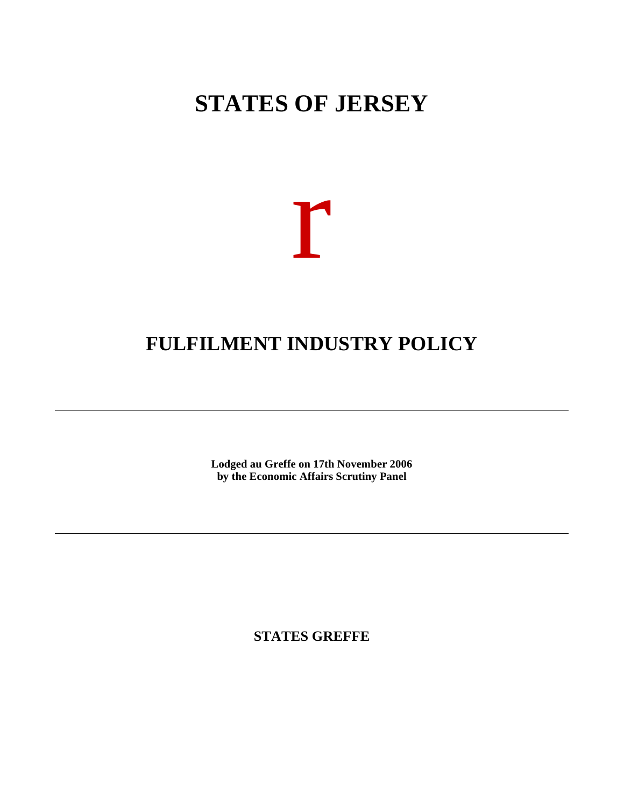# **STATES OF JERSEY**



## **FULFILMENT INDUSTRY POLICY**

**Lodged au Greffe on 17th November 2006 by the Economic Affairs Scrutiny Panel**

**STATES GREFFE**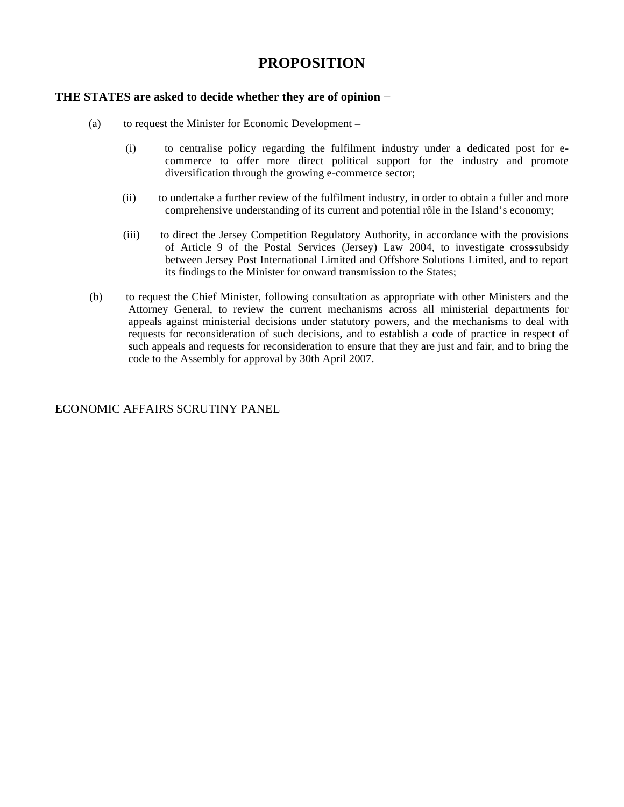### **PROPOSITION**

#### **THE STATES are asked to decide whether they are of opinion**

- (a) to request the Minister for Economic Development
	- (i) to centralise policy regarding the fulfilment industry under a dedicated post for ecommerce to offer more direct political support for the industry and promote diversification through the growing e-commerce sector;
	- (ii) to undertake a further review of the fulfilment industry, in order to obtain a fuller and more comprehensive understanding of its current and potential rôle in the Island's economy;
	- (iii) to direct the Jersey Competition Regulatory Authority, in accordance with the provisions of Article 9 of the Postal Services (Jersey) Law 2004, to investigate cross-subsidy between Jersey Post International Limited and Offshore Solutions Limited, and to report its findings to the Minister for onward transmission to the States;
- (b) to request the Chief Minister, following consultation as appropriate with other Ministers and the Attorney General, to review the current mechanisms across all ministerial departments for appeals against ministerial decisions under statutory powers, and the mechanisms to deal with requests for reconsideration of such decisions, and to establish a code of practice in respect of such appeals and requests for reconsideration to ensure that they are just and fair, and to bring the code to the Assembly for approval by 30th April 2007.

#### ECONOMIC AFFAIRS SCRUTINY PANEL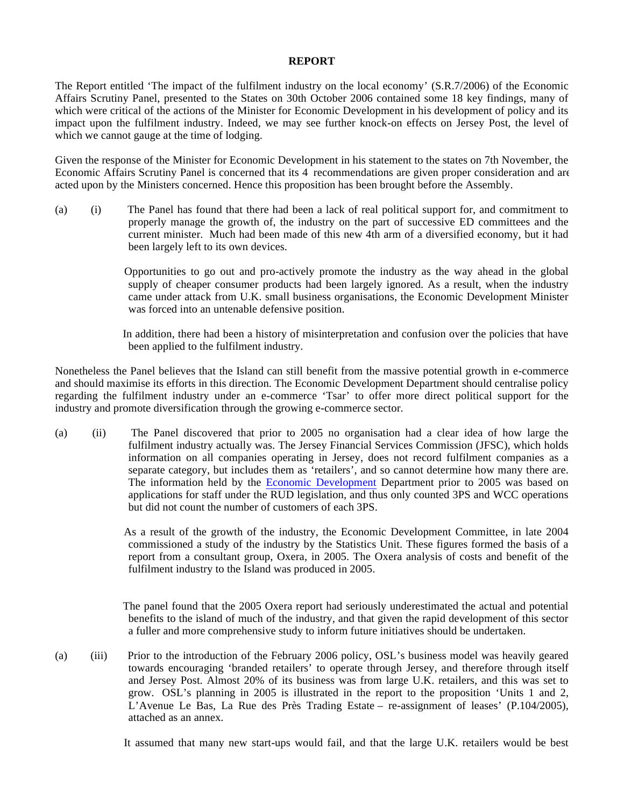#### **REPORT**

The Report entitled 'The impact of the fulfilment industry on the local economy' (S.R.7/2006) of the Economic Affairs Scrutiny Panel, presented to the States on 30th October 2006 contained some 18 key findings, many of which were critical of the actions of the Minister for Economic Development in his development of policy and its impact upon the fulfilment industry. Indeed, we may see further knock-on effects on Jersey Post, the level of which we cannot gauge at the time of lodging.

Given the response of the Minister for Economic Development in his statement to the states on 7th November, the Economic Affairs Scrutiny Panel is concerned that its 4 recommendations are given proper consideration and are acted upon by the Ministers concerned. Hence this proposition has been brought before the Assembly.

(a) (i) The Panel has found that there had been a lack of real political support for, and commitment to properly manage the growth of, the industry on the part of successive ED committees and the current minister. Much had been made of this new 4th arm of a diversified economy, but it had been largely left to its own devices.

> Opportunities to go out and pro-actively promote the industry as the way ahead in the global supply of cheaper consumer products had been largely ignored. As a result, when the industry came under attack from U.K. small business organisations, the Economic Development Minister was forced into an untenable defensive position.

> In addition, there had been a history of misinterpretation and confusion over the policies that have been applied to the fulfilment industry.

Nonetheless the Panel believes that the Island can still benefit from the massive potential growth in e-commerce and should maximise its efforts in this direction. The Economic Development Department should centralise policy regarding the fulfilment industry under an e-commerce 'Tsar' to offer more direct political support for the industry and promote diversification through the growing e-commerce sector.

(a) (ii) The Panel discovered that prior to 2005 no organisation had a clear idea of how large the fulfilment industry actually was. The Jersey Financial Services Commission (JFSC), which holds information on all companies operating in Jersey, does not record fulfilment companies as a separate category, but includes them as 'retailers', and so cannot determine how many there are. The information held by the Economic Development Department prior to 2005 was based on applications for staff under the  $\overline{RUD}$  legislation, and thus only counted 3PS and WCC operations but did not count the number of customers of each 3PS.

> As a result of the growth of the industry, the Economic Development Committee, in late 2004 commissioned a study of the industry by the Statistics Unit. These figures formed the basis of a report from a consultant group, Oxera, in 2005. The Oxera analysis of costs and benefit of the fulfilment industry to the Island was produced in 2005.

> The panel found that the 2005 Oxera report had seriously underestimated the actual and potential benefits to the island of much of the industry, and that given the rapid development of this sector a fuller and more comprehensive study to inform future initiatives should be undertaken.

(a) (iii) Prior to the introduction of the February 2006 policy, OSL's business model was heavily geared towards encouraging 'branded retailers' to operate through Jersey, and therefore through itself and Jersey Post. Almost 20% of its business was from large U.K. retailers, and this was set to grow. OSL's planning in 2005 is illustrated in the report to the proposition 'Units 1 and 2, L'Avenue Le Bas, La Rue des Près Trading Estate – re-assignment of leases' (P.104/2005), attached as an annex.

It assumed that many new start-ups would fail, and that the large U.K. retailers would be best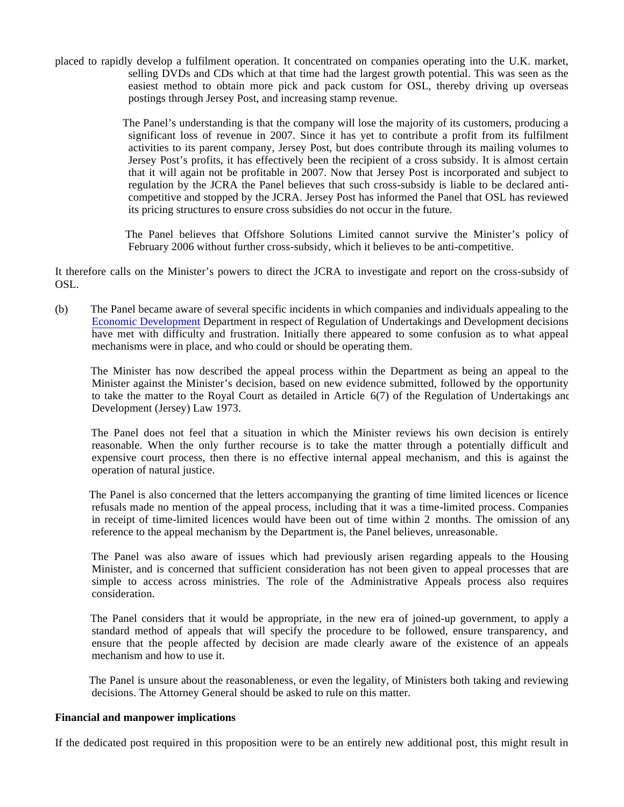placed to rapidly develop a fulfilment operation. It concentrated on companies operating into the U.K. market, selling DVDs and CDs which at that time had the largest growth potential. This was seen as the easiest method to obtain more pick and pack custom for OSL, thereby driving up overseas postings through Jersey Post, and increasing stamp revenue.

> The Panel's understanding is that the company will lose the majority of its customers, producing a significant loss of revenue in 2007. Since it has yet to contribute a profit from its fulfilment activities to its parent company, Jersey Post, but does contribute through its mailing volumes to Jersey Post's profits, it has effectively been the recipient of a cross subsidy. It is almost certain that it will again not be profitable in 2007. Now that Jersey Post is incorporated and subject to regulation by the JCRA the Panel believes that such cross-subsidy is liable to be declared anticompetitive and stopped by the JCRA. Jersey Post has informed the Panel that OSL has reviewed its pricing structures to ensure cross subsidies do not occur in the future.

> The Panel believes that Offshore Solutions Limited cannot survive the Minister's policy of February 2006 without further cross-subsidy, which it believes to be anti-competitive.

It therefore calls on the Minister's powers to direct the JCRA to investigate and report on the cross-subsidy of OSL.

(b) The Panel became aware of several specific incidents in which companies and individuals appealing to the Economic Development Department in respect of Regulation of Undertakings and Development decisions have met with difficulty and frustration. Initially there appeared to some confusion as to what appeal mechanisms were in place, and who could or should be operating them.

 The Minister has now described the appeal process within the Department as being an appeal to the Minister against the Minister's decision, based on new evidence submitted, followed by the opportunity to take the matter to the Royal Court as detailed in Article  $6(7)$  of the Regulation of Undertakings and Development (Jersey) Law 1973.

 The Panel does not feel that a situation in which the Minister reviews his own decision is entirely reasonable. When the only further recourse is to take the matter through a potentially difficult and expensive court process, then there is no effective internal appeal mechanism, and this is against the operation of natural justice.

 The Panel is also concerned that the letters accompanying the granting of time limited licences or licence refusals made no mention of the appeal process, including that it was a time-limited process. Companies in receipt of time-limited licences would have been out of time within 2 months. The omission of any reference to the appeal mechanism by the Department is, the Panel believes, unreasonable.

 The Panel was also aware of issues which had previously arisen regarding appeals to the Housing Minister, and is concerned that sufficient consideration has not been given to appeal processes that are simple to access across ministries. The role of the Administrative Appeals process also requires consideration.

 The Panel considers that it would be appropriate, in the new era of joined-up government, to apply a standard method of appeals that will specify the procedure to be followed, ensure transparency, and ensure that the people affected by decision are made clearly aware of the existence of an appeals mechanism and how to use it.

 The Panel is unsure about the reasonableness, or even the legality, of Ministers both taking and reviewing decisions. The Attorney General should be asked to rule on this matter.

#### **Financial and manpower implications**

If the dedicated post required in this proposition were to be an entirely new additional post, this might result in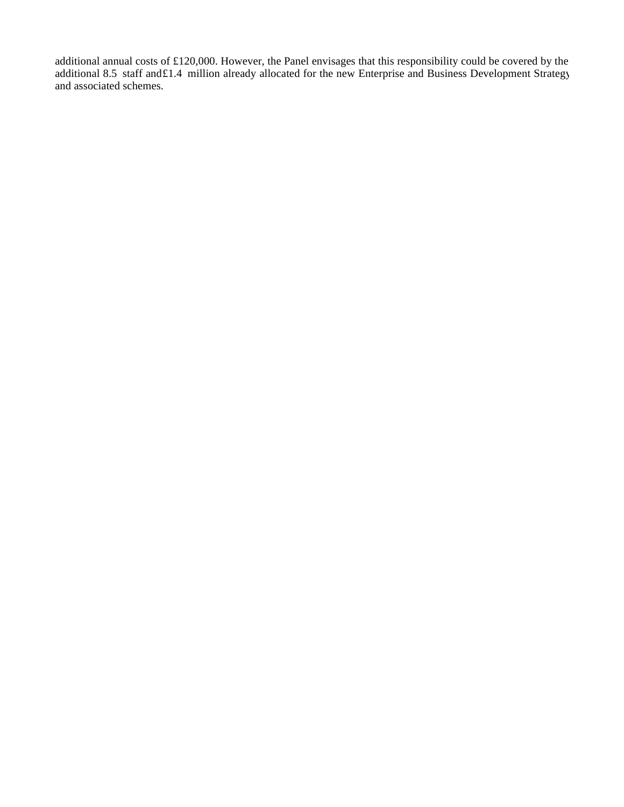additional annual costs of £120,000. However, the Panel envisages that this responsibility could be covered by the additional 8.5 staff and£1.4 million already allocated for the new Enterprise and Business Development Strategy and associated schemes.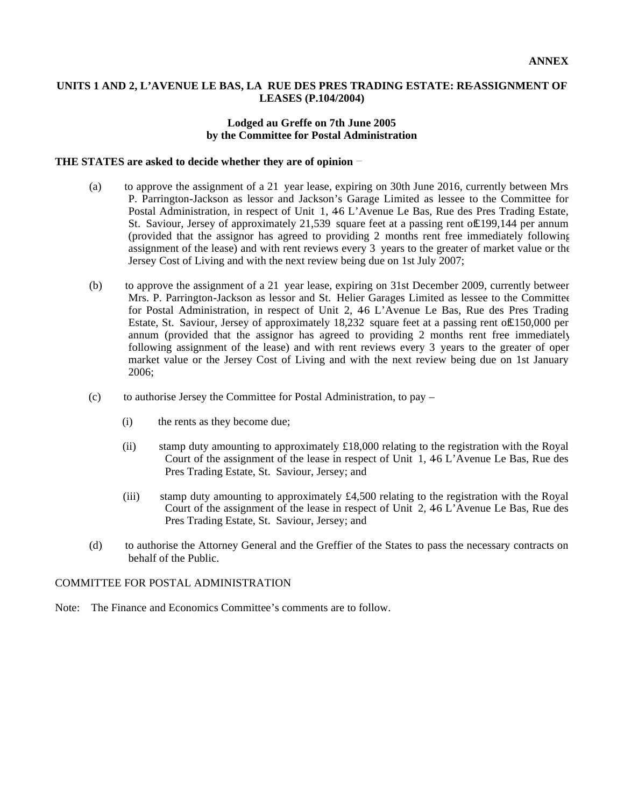#### **UNITS 1 AND 2, L'AVENUE LE BAS, LA RUE DES PRES TRADING ESTATE: RE-ASSIGNMENT OF LEASES (P.104/2004)**

#### **Lodged au Greffe on 7th June 2005 by the Committee for Postal Administration**

#### **THE STATES are asked to decide whether they are of opinion**

- (a) to approve the assignment of a 21 year lease, expiring on 30th June 2016, currently between Mrs. P. Parrington-Jackson as lessor and Jackson's Garage Limited as lessee to the Committee for Postal Administration, in respect of Unit 1, 46 L'Avenue Le Bas, Rue des Pres Trading Estate, St. Saviour, Jersey of approximately 21,539 square feet at a passing rent of £199,144 per annum (provided that the assignor has agreed to providing 2 months rent free immediately following assignment of the lease) and with rent reviews every 3 years to the greater of market value or the Jersey Cost of Living and with the next review being due on 1st July 2007;
- (b) to approve the assignment of a 21 year lease, expiring on 31st December 2009, currently between Mrs. P. Parrington-Jackson as lessor and St. Helier Garages Limited as lessee to the Committee for Postal Administration, in respect of Unit 2, 46 L'Avenue Le Bas, Rue des Pres Trading Estate, St. Saviour, Jersey of approximately 18,232 square feet at a passing rent of£150,000 per annum (provided that the assignor has agreed to providing 2 months rent free immediately following assignment of the lease) and with rent reviews every 3 years to the greater of oper market value or the Jersey Cost of Living and with the next review being due on 1st January 2006;
- (c) to authorise Jersey the Committee for Postal Administration, to pay
	- (i) the rents as they become due;
	- (ii) stamp duty amounting to approximately £18,000 relating to the registration with the Royal Court of the assignment of the lease in respect of Unit 1, 46 L'Avenue Le Bas, Rue des Pres Trading Estate, St. Saviour, Jersey; and
	- (iii) stamp duty amounting to approximately  $\text{\pounds}4,500$  relating to the registration with the Royal Court of the assignment of the lease in respect of Unit 2, 46 L'Avenue Le Bas, Rue des Pres Trading Estate, St. Saviour, Jersey; and
- (d) to authorise the Attorney General and the Greffier of the States to pass the necessary contracts on behalf of the Public.

#### COMMITTEE FOR POSTAL ADMINISTRATION

Note: The Finance and Economics Committee's comments are to follow.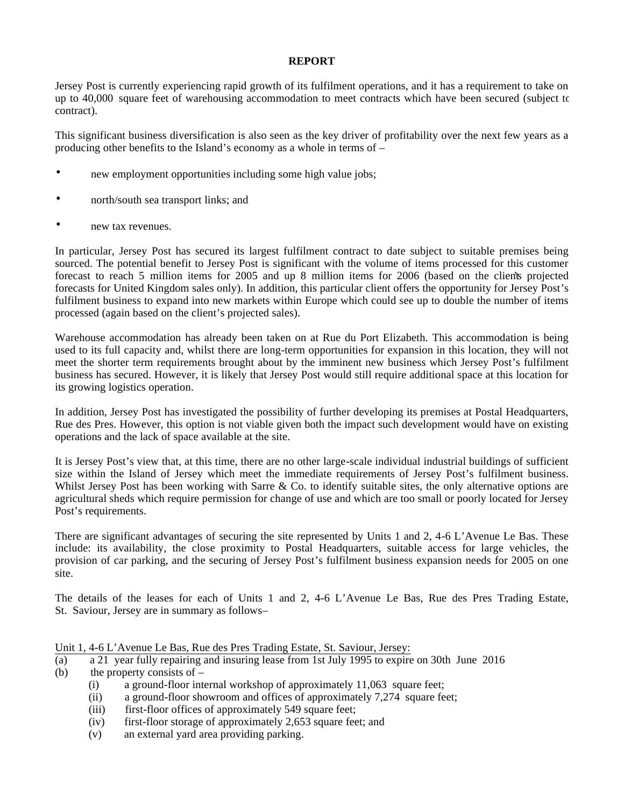#### **REPORT**

Jersey Post is currently experiencing rapid growth of its fulfilment operations, and it has a requirement to take on up to 40,000 square feet of warehousing accommodation to meet contracts which have been secured (subject to contract).

This significant business diversification is also seen as the key driver of profitability over the next few years as a producing other benefits to the Island's economy as a whole in terms of –

- new employment opportunities including some high value jobs;
- north/south sea transport links; and
- new tax revenues.

In particular, Jersey Post has secured its largest fulfilment contract to date subject to suitable premises being sourced. The potential benefit to Jersey Post is significant with the volume of items processed for this customer forecast to reach 5 million items for 2005 and up 8 million items for 2006 (based on the clients projected forecasts for United Kingdom sales only). In addition, this particular client offers the opportunity for Jersey Post's fulfilment business to expand into new markets within Europe which could see up to double the number of items processed (again based on the client's projected sales).

Warehouse accommodation has already been taken on at Rue du Port Elizabeth. This accommodation is being used to its full capacity and, whilst there are long-term opportunities for expansion in this location, they will not meet the shorter term requirements brought about by the imminent new business which Jersey Post's fulfilment business has secured. However, it is likely that Jersey Post would still require additional space at this location for its growing logistics operation.

In addition, Jersey Post has investigated the possibility of further developing its premises at Postal Headquarters, Rue des Pres. However, this option is not viable given both the impact such development would have on existing operations and the lack of space available at the site.

It is Jersey Post's view that, at this time, there are no other large-scale individual industrial buildings of sufficient size within the Island of Jersey which meet the immediate requirements of Jersey Post's fulfilment business. Whilst Jersey Post has been working with Sarre & Co. to identify suitable sites, the only alternative options are agricultural sheds which require permission for change of use and which are too small or poorly located for Jersey Post's requirements.

There are significant advantages of securing the site represented by Units 1 and 2, 4-6 L'Avenue Le Bas. These include: its availability, the close proximity to Postal Headquarters, suitable access for large vehicles, the provision of car parking, and the securing of Jersey Post's fulfilment business expansion needs for 2005 on one site.

The details of the leases for each of Units 1 and 2, 4-6 L'Avenue Le Bas, Rue des Pres Trading Estate, St. Saviour, Jersey are in summary as follows –

#### Unit 1, 4-6 L'Avenue Le Bas, Rue des Pres Trading Estate, St. Saviour, Jersey:

- (a) a 21 year fully repairing and insuring lease from 1st July 1995 to expire on 30th June 2016 (b) the property consists of  $-$ 
	- (i) a ground-floor internal workshop of approximately 11,063 square feet;
	- (ii) a ground-floor showroom and offices of approximately 7,274 square feet;
	- (iii) first-floor offices of approximately 549 square feet;
	- (iv) first-floor storage of approximately 2,653 square feet; and
	- (v) an external yard area providing parking.